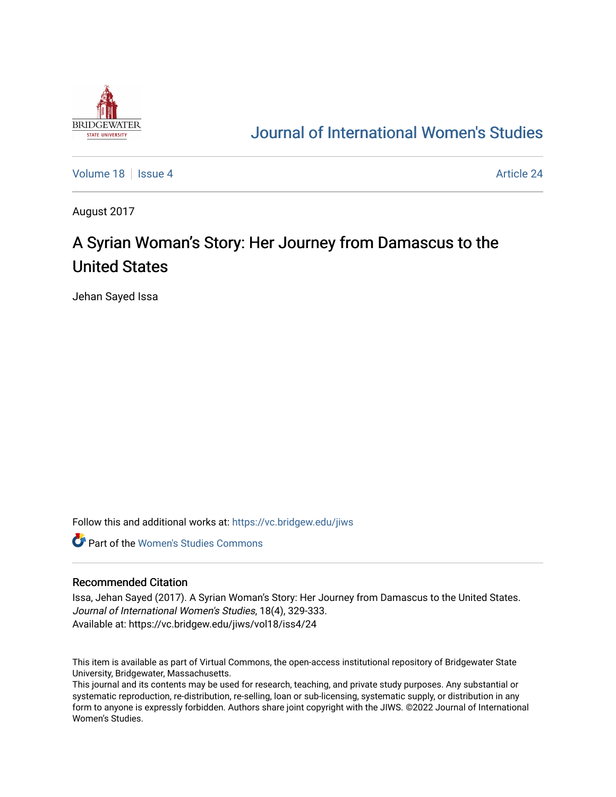

## [Journal of International Women's Studies](https://vc.bridgew.edu/jiws)

[Volume 18](https://vc.bridgew.edu/jiws/vol18) September 24 Article 24

August 2017

# A Syrian Woman's Story: Her Journey from Damascus to the United States

Jehan Sayed Issa

Follow this and additional works at: [https://vc.bridgew.edu/jiws](https://vc.bridgew.edu/jiws?utm_source=vc.bridgew.edu%2Fjiws%2Fvol18%2Fiss4%2F24&utm_medium=PDF&utm_campaign=PDFCoverPages)

**C** Part of the Women's Studies Commons

### Recommended Citation

Issa, Jehan Sayed (2017). A Syrian Woman's Story: Her Journey from Damascus to the United States. Journal of International Women's Studies, 18(4), 329-333. Available at: https://vc.bridgew.edu/jiws/vol18/iss4/24

This item is available as part of Virtual Commons, the open-access institutional repository of Bridgewater State University, Bridgewater, Massachusetts.

This journal and its contents may be used for research, teaching, and private study purposes. Any substantial or systematic reproduction, re-distribution, re-selling, loan or sub-licensing, systematic supply, or distribution in any form to anyone is expressly forbidden. Authors share joint copyright with the JIWS. ©2022 Journal of International Women's Studies.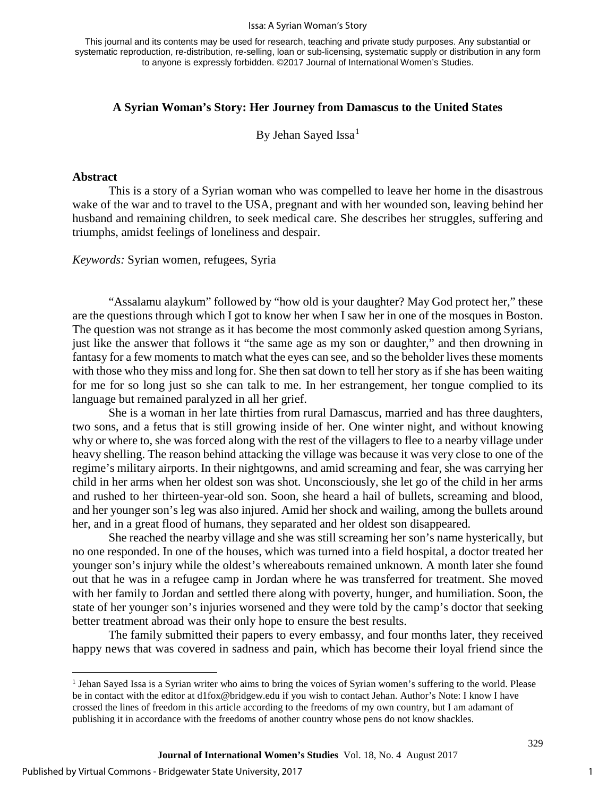#### Issa: A Syrian Woman's Story

This journal and its contents may be used for research, teaching and private study purposes. Any substantial or systematic reproduction, re-distribution, re-selling, loan or sub-licensing, systematic supply or distribution in any form to anyone is expressly forbidden. ©2017 Journal of International Women's Studies.

## **A Syrian Woman's Story: Her Journey from Damascus to the United States**

By Jehan Sayed Issa<sup>[1](#page-1-0)</sup>

## **Abstract**

This is a story of a Syrian woman who was compelled to leave her home in the disastrous wake of the war and to travel to the USA, pregnant and with her wounded son, leaving behind her husband and remaining children, to seek medical care. She describes her struggles, suffering and triumphs, amidst feelings of loneliness and despair.

*Keywords:* Syrian women, refugees, Syria

"Assalamu alaykum" followed by "how old is your daughter? May God protect her," these are the questions through which I got to know her when I saw her in one of the mosques in Boston. The question was not strange as it has become the most commonly asked question among Syrians, just like the answer that follows it "the same age as my son or daughter," and then drowning in fantasy for a few moments to match what the eyes can see, and so the beholder lives these moments with those who they miss and long for. She then sat down to tell her story as if she has been waiting for me for so long just so she can talk to me. In her estrangement, her tongue complied to its language but remained paralyzed in all her grief.

She is a woman in her late thirties from rural Damascus, married and has three daughters, two sons, and a fetus that is still growing inside of her. One winter night, and without knowing why or where to, she was forced along with the rest of the villagers to flee to a nearby village under heavy shelling. The reason behind attacking the village was because it was very close to one of the regime's military airports. In their nightgowns, and amid screaming and fear, she was carrying her child in her arms when her oldest son was shot. Unconsciously, she let go of the child in her arms and rushed to her thirteen-year-old son. Soon, she heard a hail of bullets, screaming and blood, and her younger son's leg was also injured. Amid her shock and wailing, among the bullets around her, and in a great flood of humans, they separated and her oldest son disappeared.

She reached the nearby village and she was still screaming her son's name hysterically, but no one responded. In one of the houses, which was turned into a field hospital, a doctor treated her younger son's injury while the oldest's whereabouts remained unknown. A month later she found out that he was in a refugee camp in Jordan where he was transferred for treatment. She moved with her family to Jordan and settled there along with poverty, hunger, and humiliation. Soon, the state of her younger son's injuries worsened and they were told by the camp's doctor that seeking better treatment abroad was their only hope to ensure the best results.

The family submitted their papers to every embassy, and four months later, they received happy news that was covered in sadness and pain, which has become their loyal friend since the

 $\overline{a}$ 

<span id="page-1-0"></span><sup>&</sup>lt;sup>1</sup> Jehan Sayed Issa is a Syrian writer who aims to bring the voices of Syrian women's suffering to the world. Please be in contact with the editor at d1fox@bridgew.edu if you wish to contact Jehan. Author's Note: I know I have crossed the lines of freedom in this article according to the freedoms of my own country, but I am adamant of publishing it in accordance with the freedoms of another country whose pens do not know shackles.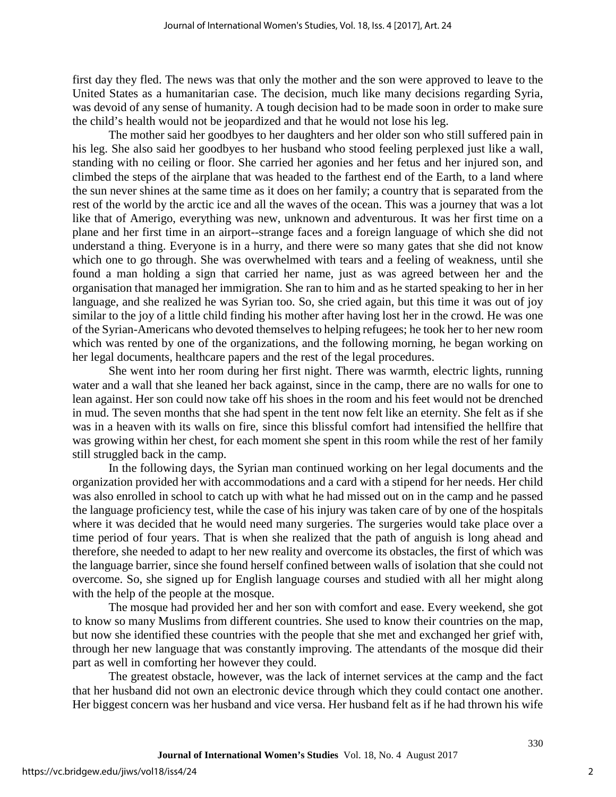first day they fled. The news was that only the mother and the son were approved to leave to the United States as a humanitarian case. The decision, much like many decisions regarding Syria, was devoid of any sense of humanity. A tough decision had to be made soon in order to make sure the child's health would not be jeopardized and that he would not lose his leg.

The mother said her goodbyes to her daughters and her older son who still suffered pain in his leg. She also said her goodbyes to her husband who stood feeling perplexed just like a wall, standing with no ceiling or floor. She carried her agonies and her fetus and her injured son, and climbed the steps of the airplane that was headed to the farthest end of the Earth, to a land where the sun never shines at the same time as it does on her family; a country that is separated from the rest of the world by the arctic ice and all the waves of the ocean. This was a journey that was a lot like that of Amerigo, everything was new, unknown and adventurous. It was her first time on a plane and her first time in an airport--strange faces and a foreign language of which she did not understand a thing. Everyone is in a hurry, and there were so many gates that she did not know which one to go through. She was overwhelmed with tears and a feeling of weakness, until she found a man holding a sign that carried her name, just as was agreed between her and the organisation that managed her immigration. She ran to him and as he started speaking to her in her language, and she realized he was Syrian too. So, she cried again, but this time it was out of joy similar to the joy of a little child finding his mother after having lost her in the crowd. He was one of the Syrian-Americans who devoted themselves to helping refugees; he took her to her new room which was rented by one of the organizations, and the following morning, he began working on her legal documents, healthcare papers and the rest of the legal procedures.

She went into her room during her first night. There was warmth, electric lights, running water and a wall that she leaned her back against, since in the camp, there are no walls for one to lean against. Her son could now take off his shoes in the room and his feet would not be drenched in mud. The seven months that she had spent in the tent now felt like an eternity. She felt as if she was in a heaven with its walls on fire, since this blissful comfort had intensified the hellfire that was growing within her chest, for each moment she spent in this room while the rest of her family still struggled back in the camp.

In the following days, the Syrian man continued working on her legal documents and the organization provided her with accommodations and a card with a stipend for her needs. Her child was also enrolled in school to catch up with what he had missed out on in the camp and he passed the language proficiency test, while the case of his injury was taken care of by one of the hospitals where it was decided that he would need many surgeries. The surgeries would take place over a time period of four years. That is when she realized that the path of anguish is long ahead and therefore, she needed to adapt to her new reality and overcome its obstacles, the first of which was the language barrier, since she found herself confined between walls of isolation that she could not overcome. So, she signed up for English language courses and studied with all her might along with the help of the people at the mosque.

The mosque had provided her and her son with comfort and ease. Every weekend, she got to know so many Muslims from different countries. She used to know their countries on the map, but now she identified these countries with the people that she met and exchanged her grief with, through her new language that was constantly improving. The attendants of the mosque did their part as well in comforting her however they could.

The greatest obstacle, however, was the lack of internet services at the camp and the fact that her husband did not own an electronic device through which they could contact one another. Her biggest concern was her husband and vice versa. Her husband felt as if he had thrown his wife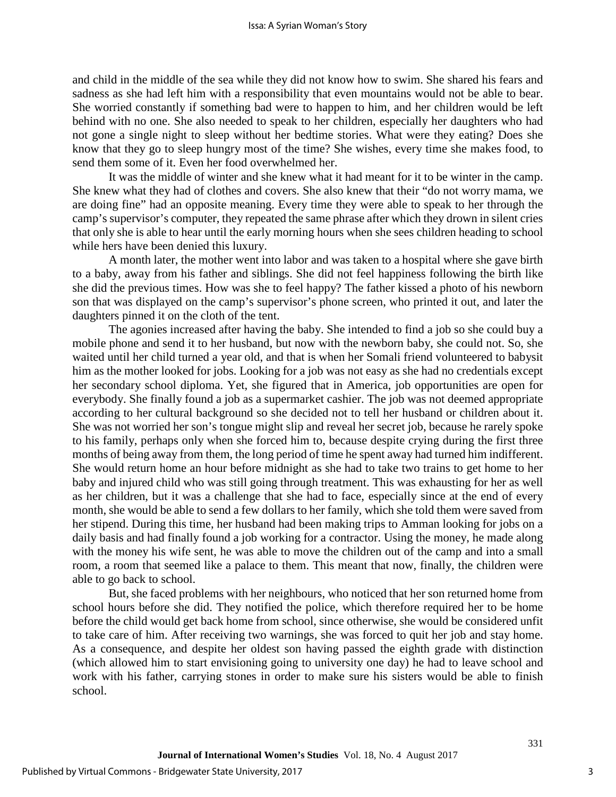and child in the middle of the sea while they did not know how to swim. She shared his fears and sadness as she had left him with a responsibility that even mountains would not be able to bear. She worried constantly if something bad were to happen to him, and her children would be left behind with no one. She also needed to speak to her children, especially her daughters who had not gone a single night to sleep without her bedtime stories. What were they eating? Does she know that they go to sleep hungry most of the time? She wishes, every time she makes food, to send them some of it. Even her food overwhelmed her.

It was the middle of winter and she knew what it had meant for it to be winter in the camp. She knew what they had of clothes and covers. She also knew that their "do not worry mama, we are doing fine" had an opposite meaning. Every time they were able to speak to her through the camp's supervisor's computer, they repeated the same phrase after which they drown in silent cries that only she is able to hear until the early morning hours when she sees children heading to school while hers have been denied this luxury.

A month later, the mother went into labor and was taken to a hospital where she gave birth to a baby, away from his father and siblings. She did not feel happiness following the birth like she did the previous times. How was she to feel happy? The father kissed a photo of his newborn son that was displayed on the camp's supervisor's phone screen, who printed it out, and later the daughters pinned it on the cloth of the tent.

The agonies increased after having the baby. She intended to find a job so she could buy a mobile phone and send it to her husband, but now with the newborn baby, she could not. So, she waited until her child turned a year old, and that is when her Somali friend volunteered to babysit him as the mother looked for jobs. Looking for a job was not easy as she had no credentials except her secondary school diploma. Yet, she figured that in America, job opportunities are open for everybody. She finally found a job as a supermarket cashier. The job was not deemed appropriate according to her cultural background so she decided not to tell her husband or children about it. She was not worried her son's tongue might slip and reveal her secret job, because he rarely spoke to his family, perhaps only when she forced him to, because despite crying during the first three months of being away from them, the long period of time he spent away had turned him indifferent. She would return home an hour before midnight as she had to take two trains to get home to her baby and injured child who was still going through treatment. This was exhausting for her as well as her children, but it was a challenge that she had to face, especially since at the end of every month, she would be able to send a few dollars to her family, which she told them were saved from her stipend. During this time, her husband had been making trips to Amman looking for jobs on a daily basis and had finally found a job working for a contractor. Using the money, he made along with the money his wife sent, he was able to move the children out of the camp and into a small room, a room that seemed like a palace to them. This meant that now, finally, the children were able to go back to school.

But, she faced problems with her neighbours, who noticed that her son returned home from school hours before she did. They notified the police, which therefore required her to be home before the child would get back home from school, since otherwise, she would be considered unfit to take care of him. After receiving two warnings, she was forced to quit her job and stay home. As a consequence, and despite her oldest son having passed the eighth grade with distinction (which allowed him to start envisioning going to university one day) he had to leave school and work with his father, carrying stones in order to make sure his sisters would be able to finish school.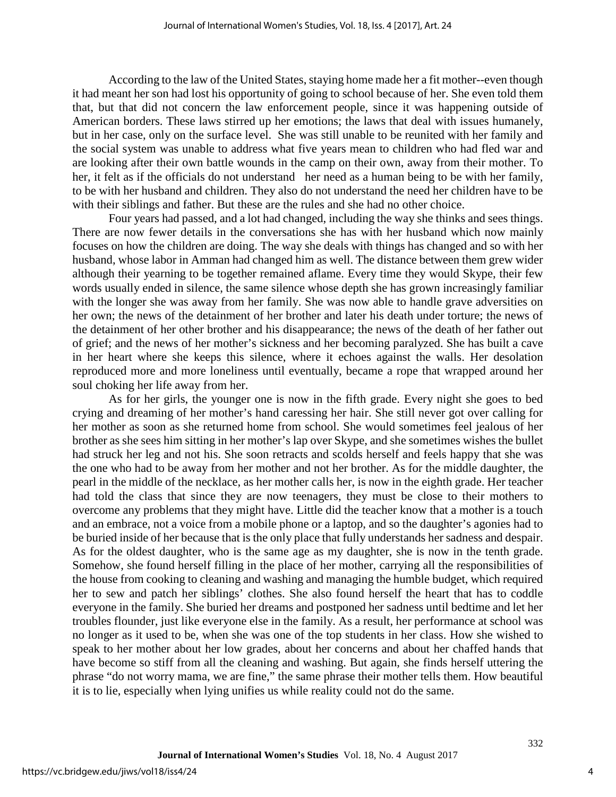According to the law of the United States, staying home made her a fit mother--even though it had meant her son had lost his opportunity of going to school because of her. She even told them that, but that did not concern the law enforcement people, since it was happening outside of American borders. These laws stirred up her emotions; the laws that deal with issues humanely, but in her case, only on the surface level. She was still unable to be reunited with her family and the social system was unable to address what five years mean to children who had fled war and are looking after their own battle wounds in the camp on their own, away from their mother. To her, it felt as if the officials do not understand her need as a human being to be with her family, to be with her husband and children. They also do not understand the need her children have to be with their siblings and father. But these are the rules and she had no other choice.

Four years had passed, and a lot had changed, including the way she thinks and sees things. There are now fewer details in the conversations she has with her husband which now mainly focuses on how the children are doing. The way she deals with things has changed and so with her husband, whose labor in Amman had changed him as well. The distance between them grew wider although their yearning to be together remained aflame. Every time they would Skype, their few words usually ended in silence, the same silence whose depth she has grown increasingly familiar with the longer she was away from her family. She was now able to handle grave adversities on her own; the news of the detainment of her brother and later his death under torture; the news of the detainment of her other brother and his disappearance; the news of the death of her father out of grief; and the news of her mother's sickness and her becoming paralyzed. She has built a cave in her heart where she keeps this silence, where it echoes against the walls. Her desolation reproduced more and more loneliness until eventually, became a rope that wrapped around her soul choking her life away from her.

As for her girls, the younger one is now in the fifth grade. Every night she goes to bed crying and dreaming of her mother's hand caressing her hair. She still never got over calling for her mother as soon as she returned home from school. She would sometimes feel jealous of her brother as she sees him sitting in her mother's lap over Skype, and she sometimes wishes the bullet had struck her leg and not his. She soon retracts and scolds herself and feels happy that she was the one who had to be away from her mother and not her brother. As for the middle daughter, the pearl in the middle of the necklace, as her mother calls her, is now in the eighth grade. Her teacher had told the class that since they are now teenagers, they must be close to their mothers to overcome any problems that they might have. Little did the teacher know that a mother is a touch and an embrace, not a voice from a mobile phone or a laptop, and so the daughter's agonies had to be buried inside of her because that is the only place that fully understands her sadness and despair. As for the oldest daughter, who is the same age as my daughter, she is now in the tenth grade. Somehow, she found herself filling in the place of her mother, carrying all the responsibilities of the house from cooking to cleaning and washing and managing the humble budget, which required her to sew and patch her siblings' clothes. She also found herself the heart that has to coddle everyone in the family. She buried her dreams and postponed her sadness until bedtime and let her troubles flounder, just like everyone else in the family. As a result, her performance at school was no longer as it used to be, when she was one of the top students in her class. How she wished to speak to her mother about her low grades, about her concerns and about her chaffed hands that have become so stiff from all the cleaning and washing. But again, she finds herself uttering the phrase "do not worry mama, we are fine," the same phrase their mother tells them. How beautiful it is to lie, especially when lying unifies us while reality could not do the same.